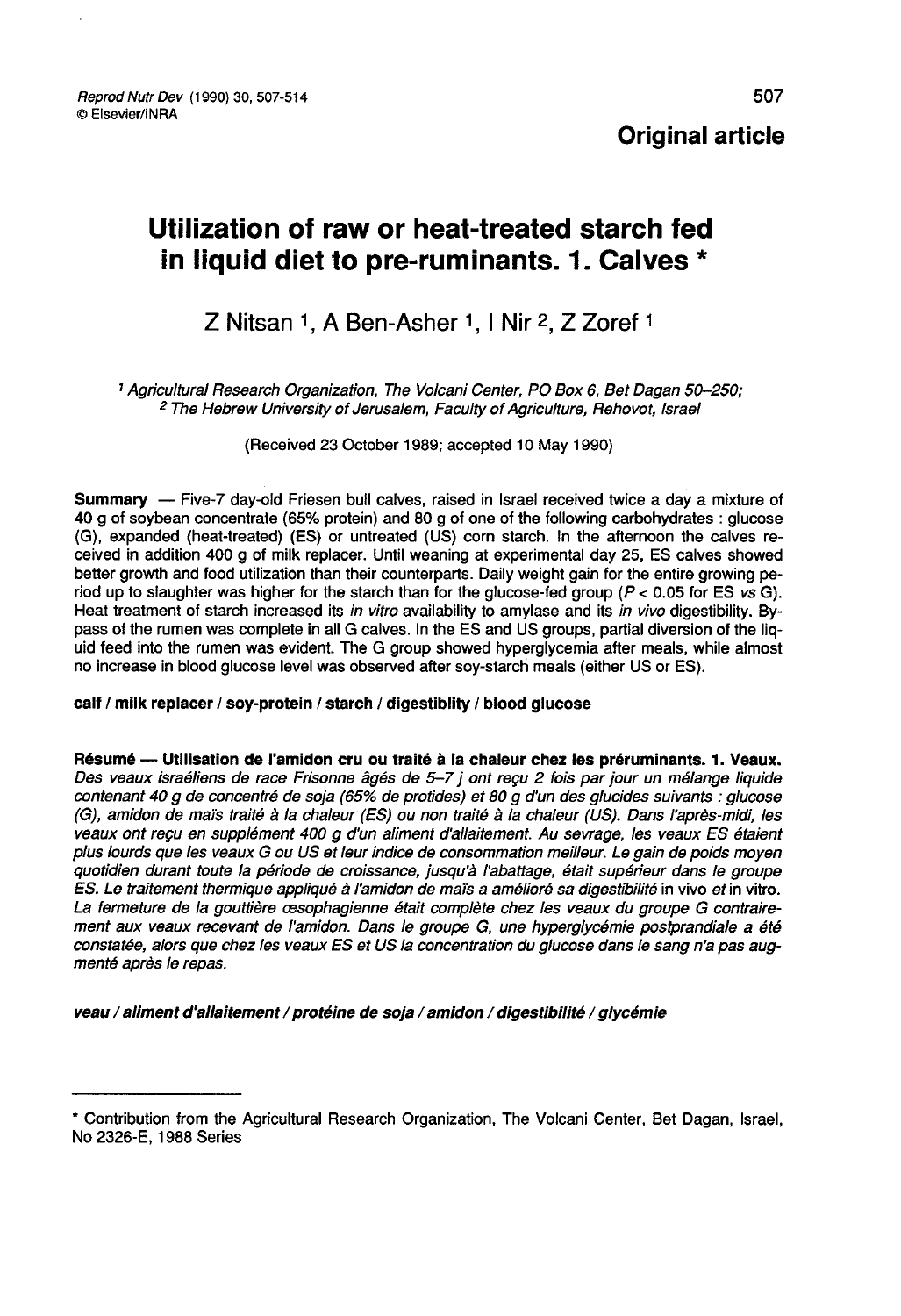Reprod Nutr Dev (1990) 30, 507-514 © Elsevier/INRA

Original article

# Utilization of raw or heat-treated starch fed in liquid diet to pre-ruminants. 1. Calves \*

# Z Nitsan 1. A Ben-Asher 1. I Nir 2. Z Zoref 1

<sup>1</sup> Agricultural Research Organization, The Volcani Center, PO Box 6, Bet Dagan 50-250;<br><sup>2</sup> The Hebrew University of Jerusalem, Faculty of Agriculture, Rehovot, Israel

(Received 23 October 1989; accepted 10 May 1990)

Summary ― Five-7 day-old Friesen bull calves, raised in Israel received twice a day a mixture of 40 g of soybean concentrate (65% protein) and 80 g of one of the following carbohydrates : glucose (G), expanded (heat-treated) (ES) or untreated (US) corn starch. In the afternoon the calves received in addition 400 g of milk replacer. Until weaning at experimental day 25, ES calves showed better growth and food utilization than their counterparts. Daily weight gain for the entire growing period up to slaughter was higher for the starch than for the glucose-fed group ( $P < 0.05$  for ES vs G). Heat treatment of starch increased its in vitro availability to amylase and its in vivo digestibility. Bypass of the rumen was complete in all G calves. In the ES and US groups, partial diversion of the liquid feed into the rumen was evident. The G group showed hyperglycemia after meals, while almost no increase in blood glucose level was observed after soy-starch meals (either US or ES).

#### calf / milk replacer / soy-protein / starch / digestiblity / blood glucose

Résumé — Utilisation de l'amidon cru ou traité à la chaleur chez les préruminants. 1. Veaux.<br>Des veaux israéliens de race Frisonne âgés de 5-7 j ont reçu 2 fois par jour un mélange liquide contenant 40 g de concentré de soja (65% de protides) et 80 g d'un des glucides suivants : glucose (G), amidon de maïs traité à la chaleur (ES) ou non traité à la chaleur (US). Dans l'après-midi, les veaux ont reçu en supplément 400 g d'un aliment d'allaitement. Au sevrage, les veaux ES étaient plus lourds que les veaux G ou US et leur indice de consommation meilleur. Le gain de poids moyen quotidien durant toute la période de croissance, jusqu'à l'abattage, était supérieur dans le groupe ES. Le traitement thermique appliqué à l'amidon de maïs a amélioré sa digestibilité in vivo et in vitro. La fermeture de la gouttière cesophagienne était complète chez les veaux du groupe G contrairement aux veaux recevant de l'amidon. Dans le groupe G, une hyperglycémie postprandiale a été constatée, alors que chez les veaux ES et US la concentration du glucose dans le sang n'a pas augmenté après le repas.

veau / aliment d'allaitement / protéine de soja / amidon / digestibilité / glycémie

<sup>\*</sup> Contribution from the Agricultural Research Organization, The Volcani Center, Bet Dagan, Israel, No 2326-E, 1988 Series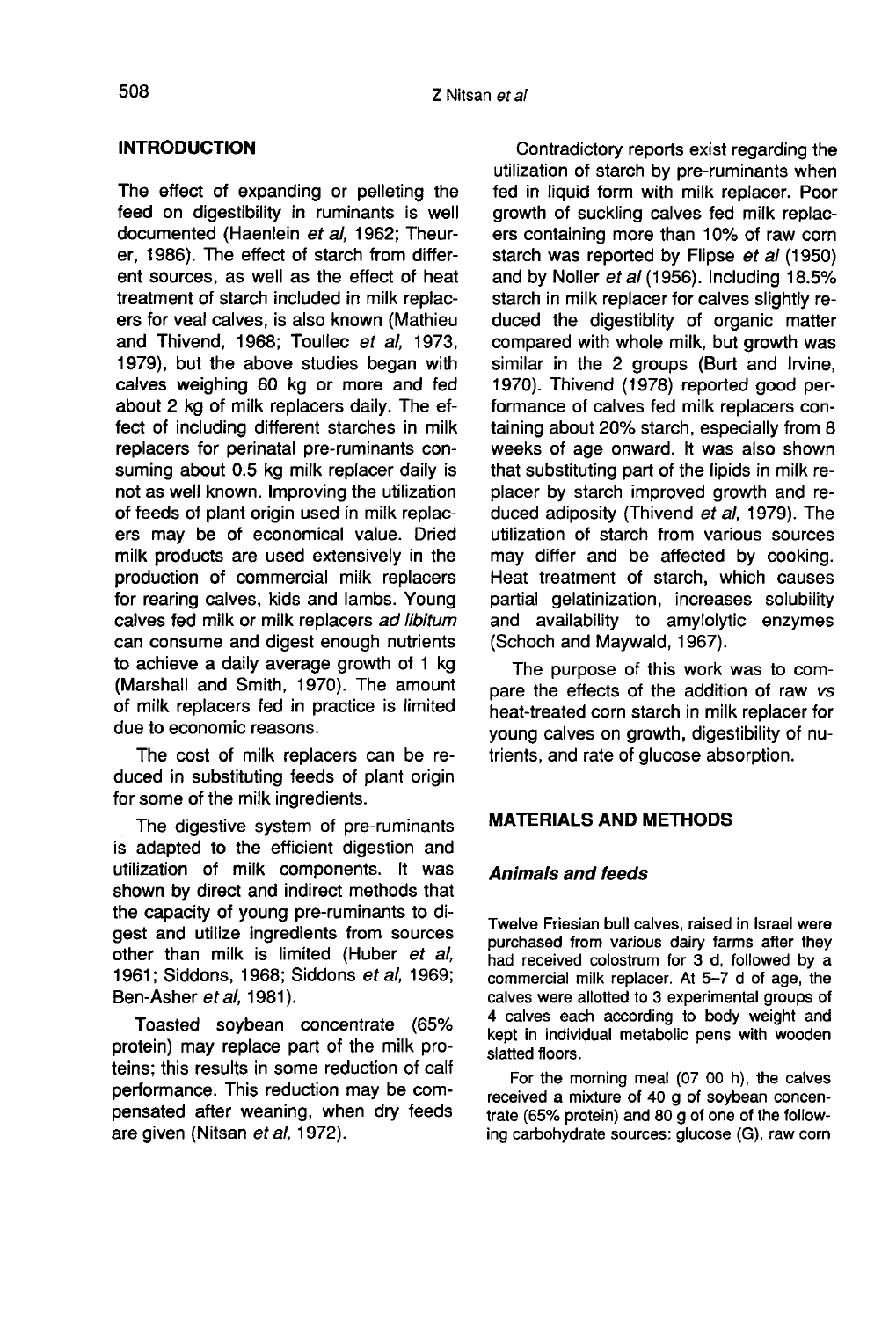# INTRODUCTION

The effect of expanding or pelleting the feed on digestibility in ruminants is well documented (Haenlein et al, 1962; Theurer, 1986). The effect of starch from different sources, as well as the effect of heat treatment of starch included in milk replac ers for veal calves, is also known (Mathieu and Thivend, 1968; Toullec et al, 1973, 1979), but the above studies began with calves weighing 60 kg or more and fed about 2 kg of milk replacers daily. The effect of including different starches in milk replacers for perinatal pre-ruminants consuming about 0.5 kg milk replacer daily is not as well known. Improving the utilization of feeds of plant origin used in milk replac ers may be of economical value. Dried milk products are used extensively in the production of commercial milk replacers for rearing calves, kids and lambs. Young calves fed milk or milk replacers ad libitum can consume and digest enough nutrients to achieve a daily average growth of 1 kg (Marshall and Smith, 1970). The amount of milk replacers fed in practice is limited due to economic reasons.

The cost of milk replacers can be reduced in substituting feeds of plant origin for some of the milk ingredients.

The digestive system of pre-ruminants is adapted to the efficient digestion and utilization of milk components. It was shown by direct and indirect methods that the capacity of young pre-ruminants to digest and utilize ingredients from sources other than milk is limited (Huber et al, 1961; Siddons, 1968; Siddons et al, 1969; Ben-Asher et al, 1981).

Toasted soybean concentrate (65% protein) may replace part of the milk proteins; this results in some reduction of calf performance. This reduction may be compensated after weaning, when dry feeds are given (Nitsan et al, 1972).

Contradictory reports exist regarding the utilization of starch by pre-ruminants when fed in liquid form with milk replacer. Poor growth of suckling calves fed milk replac ers containing more than 10% of raw corn starch was reported by Flipse et al (1950) and by Noller et al (1956). Including 18.5% starch in milk replacer for calves slightly reduced the digestiblity of organic matter compared with whole milk, but growth was similar in the 2 groups (Burt and Irvine, 1970). Thivend (1978) reported good performance of calves fed milk replacers containing about 20% starch, especially from 8 weeks of age onward. It was also shown that substituting part of the lipids in milk replacer by starch improved growth and reduced adiposity (Thivend et al, 1979). The utilization of starch from various sources may differ and be affected by cooking. Heat treatment of starch, which causes partial gelatinization, increases solubility and availability to amylolytic enzymes (Schoch and Maywald, 1967).

The purpose of this work was to compare the effects of the addition of raw vs heat-treated corn starch in milk replacer for young calves on growth, digestibility of nutrients, and rate of glucose absorption.

# MATERIALS AND METHODS

## Animals and feeds

Twelve Friesian bull calves, raised in Israel were purchased from various dairy farms after they had received colostrum for 3 d, followed by a commercial milk replacer. At 5-7 d of age, the calves were allotted to 3 experimental groups of 4 calves each according to body weight and kept in individual metabolic pens with wooden slatted floors.

For the morning meal (07 00 h), the calves received a mixture of 40 g of soybean concentrate (65% protein) and 80 g of one of the following carbohydrate sources: glucose (G), raw corn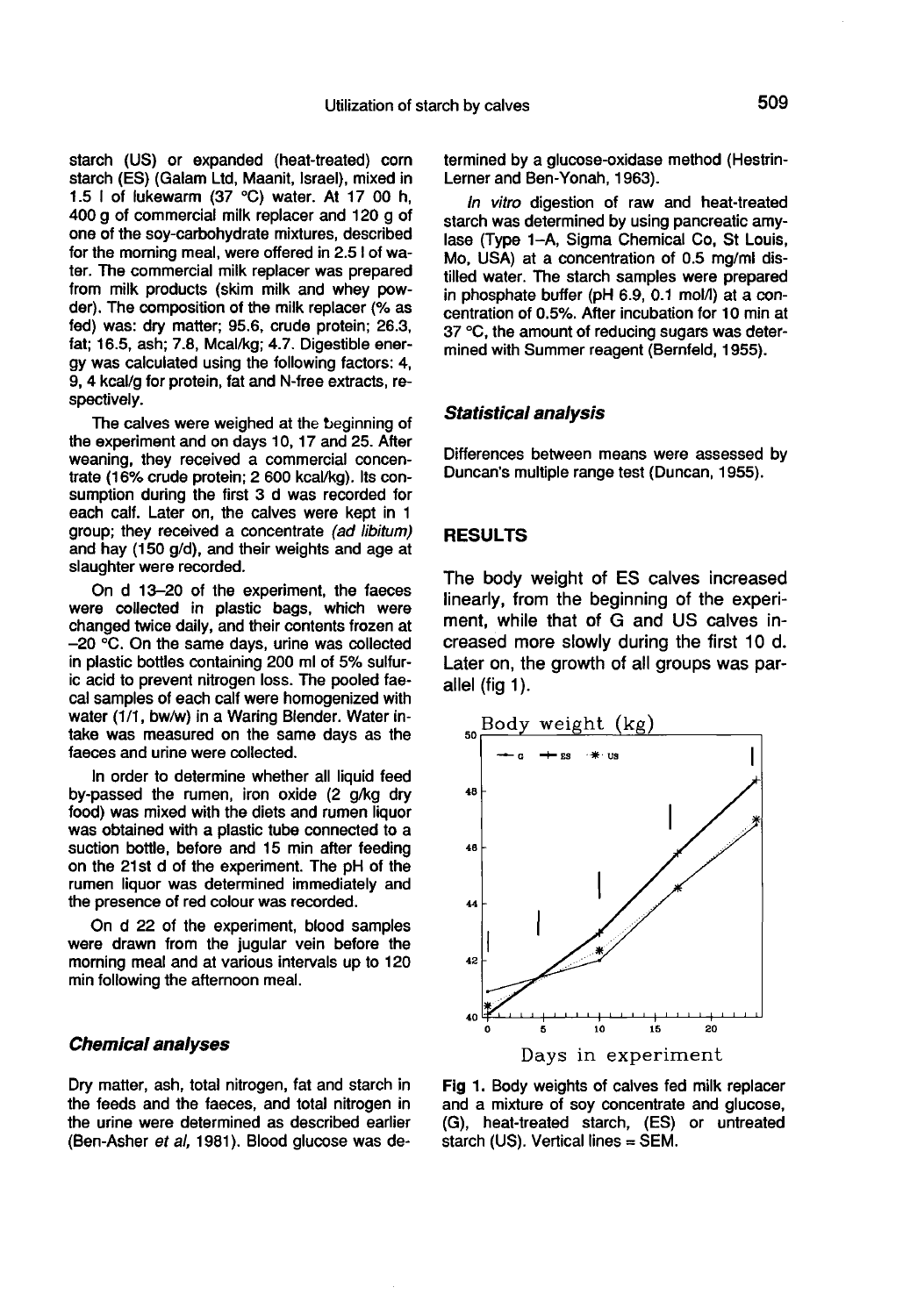starch (US) or expanded (heat-treated) corn starch (ES) (Galam Ltd, Maanit, Israel), mixed in 1.5 1 of lukewarm (37 °C) water. At 17 00 h, 400 g of commercial milk replacer and 120 g of one of the soy-carbohydrate mixtures, described for the morning meal, were offered in 2.5 I of water. The commercial milk replacer was prepared from milk products (skim milk and whey powder). The composition of the milk replacer (% as fed) was: dry matter; 95.6, crude protein; 26.3, fat; 16.5, ash; 7.8, Mcal/kg; 4.7. Digestible energy was calculated using the following factors: 4, 9, 4 kcal/g for protein, fat and N-free extracts, respectively.

The calves were weighed at the beginning of the experiment and on days 10, 17 and 25. After weaning, they received a commercial concentrate (16% crude protein; 2 600 kcal/kg). Its consumption during the first 3 d was recorded for each calf. Later on, the calves were kept in 1 group; they received a concentrate (ad libitum) and hay (150 g/d), and their weights and age at slaughter were recorded.

On d 13-20 of the experiment, the faeces were collected in plastic bags, which were changed twice daily, and their contents frozen at  $-20$  °C. On the same days, urine was collected in plastic bottles containing 200 ml of 5% sulfuric acid to prevent nitrogen loss. The pooled faecal samples of each calf were homogenized with water (1/1, bw/w) in a Waring Blender. Water intake was measured on the same days as the faeces and urine were collected.

In order to determine whether all liquid feed by-passed the rumen, iron oxide (2 g/kg dry food) was mixed with the diets and rumen liquor was obtained with a plastic tube connected to a suction bottle, before and 15 min after feeding on the 21st d of the experiment. The pH of the rumen liquor was determined immediately and the presence of red colour was recorded.

On d 22 of the experiment, blood samples were drawn from the jugular vein before the morning meal and at various intervals up to 120 min following the afternoon meal.

#### Chemical analyses

Dry matter, ash, total nitrogen, fat and starch in the feeds and the faeces, and total nitrogen in the urine were determined as described earlier (Ben-Asher et al, 1981). Blood glucose was determined by a glucose-oxidase method (Hestrin- Lerner and Ben-Yonah, 1963).

In vitro digestion of raw and heat-treated starch was determined by using pancreatic amylase (Type 1-A, Sigma Chemical Co, St Louis, Mo, USA) at a concentration of 0.5 mg/ml distilled water. The starch samples were prepared in phosphate buffer (pH  $6.9, 0.1$  mol/l) at a concentration of 0.5%. After incubation for 10 min at 37 °C, the amount of reducing sugars was determined with Summer reagent (Bernfeld, 1955).

#### Statistical analysis

Differences between means were assessed by Duncan's multiple range test (Duncan, 1955).

#### RESULTS

The body weight of ES calves increased linearly, from the beginning of the experiment, while that of G and US calves increased more slowly during the first 10 d. Later on, the growth of all groups was parallel (fig 1).



Fig 1. Body weights of calves fed milk replacer and a mixture of soy concentrate and glucose, (G), heat-treated starch, (ES) or untreated starch (US). Vertical lines  $=$  SEM.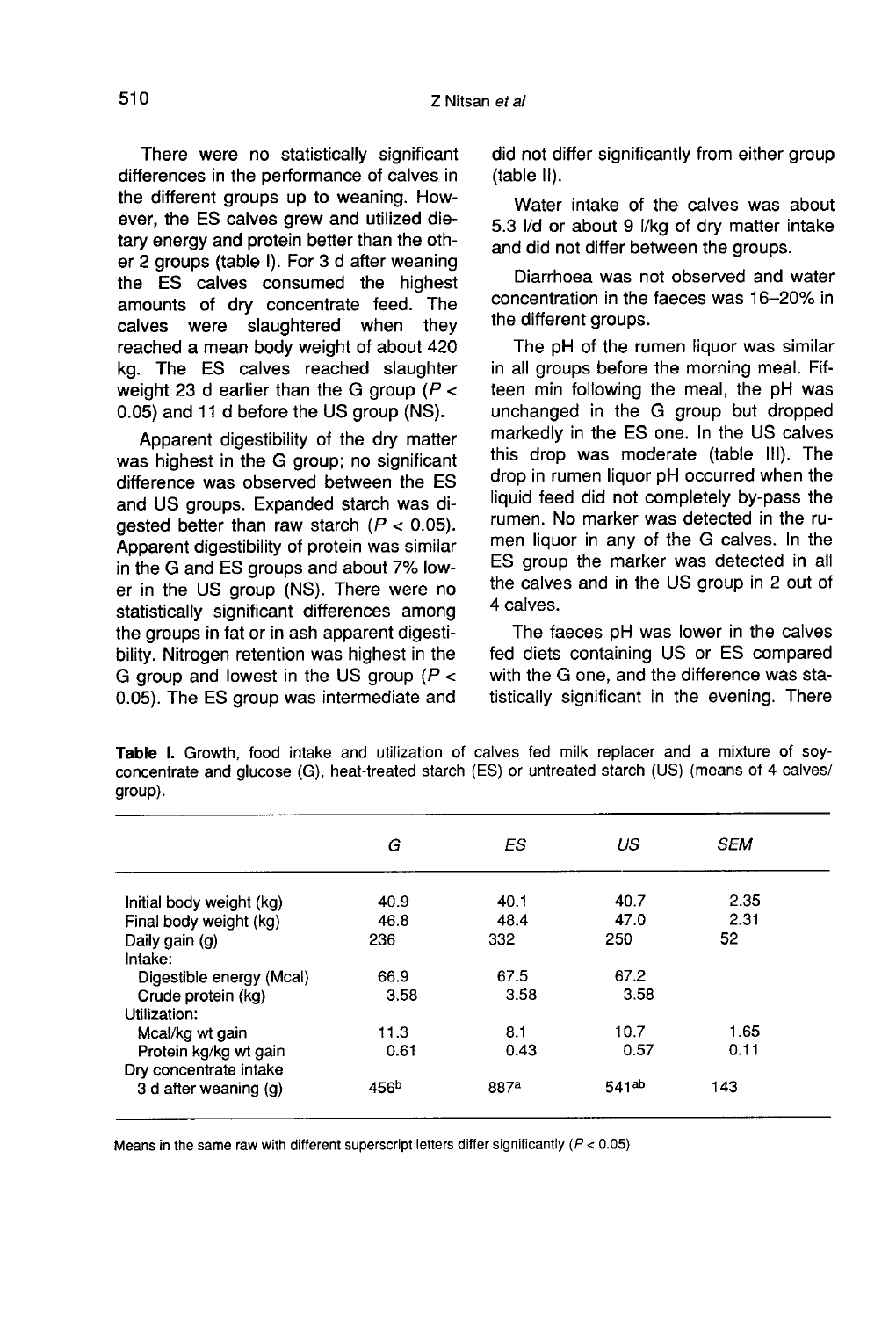There were no statistically significant differences in the performance of calves in the different groups up to weaning. However, the ES calves grew and utilized dietary energy and protein better than the other 2 groups (table I). For 3 d after weaning the ES calves consumed the highest amounts of dry concentrate feed. The calves were slaughtered when they reached a mean body weight of about 420 kg. The ES calves reached slaughter weight 23 d earlier than the G group ( $P <$ 0.05) and 11 d before the US group (NS).

Apparent digestibility of the dry matter was highest in the G group; no significant difference was observed between the ES and US groups. Expanded starch was diqested better than raw starch  $(P < 0.05)$ . Apparent digestibility of protein was similar in the G and ES groups and about 7% lower in the US group (NS). There were no statistically significant differences among the groups in fat or in ash apparent digestibility. Nitrogen retention was highest in the G group and lowest in the US group  $(P <$ 0.05). The ES group was intermediate and

did not differ significantly from either group (table II).

Water intake of the calves was about 5.3 I/d or about 9 1/kg of dry matter intake and did not differ between the groups.

Diarrhoea was not observed and water concentration in the faeces was 16-20% in the different groups.

The pH of the rumen liquor was similar in all groups before the morning meal. Fifteen min following the meal, the pH was unchanged in the G group but dropped markedly in the ES one. In the US calves this drop was moderate (table 111). The drop in rumen liquor pH occurred when the liquid feed did not completely by-pass the rumen. No marker was detected in the rumen liquor in any of the G calves. In the ES group the marker was detected in all the calves and in the US group in 2 out of 4 calves.

The faeces pH was lower in the calves fed diets containing US or ES compared with the G one, and the difference was statistically significant in the evening. There

|                          | G                | ES   | US                | <b>SEM</b> |
|--------------------------|------------------|------|-------------------|------------|
| Initial body weight (kg) | 40.9             | 40.1 | 40.7              | 2.35       |
| Final body weight (kg)   | 46.8             | 48.4 | 47.0              | 2.31       |
| Daily gain (g)           | 236              | 332  | 250               | 52         |
| Intake:                  |                  |      |                   |            |
| Digestible energy (Mcal) | 66.9             | 67.5 | 67.2              |            |
| Crude protein (kg)       | 3.58             | 3.58 | 3.58              |            |
| Utilization:             |                  |      |                   |            |
| Mcal/kg wt gain          | 11.3             | 8.1  | 10.7              | 1.65       |
| Protein kg/kg wt gain    | 0.61             | 0.43 | 0.57              | 0.11       |
| Dry concentrate intake   |                  |      |                   |            |
| 3 d after weaning (g)    | 456 <sup>b</sup> | 887a | 541 <sup>ab</sup> | 143        |

Table I. Growth, food intake and utilization of calves fed milk replacer and a mixture of soyconcentrate and glucose (G), heat-treated starch (ES) or untreated starch (US) (means of 4 calves/ group).

Means in the same raw with different superscript letters differ significantly ( $P < 0.05$ )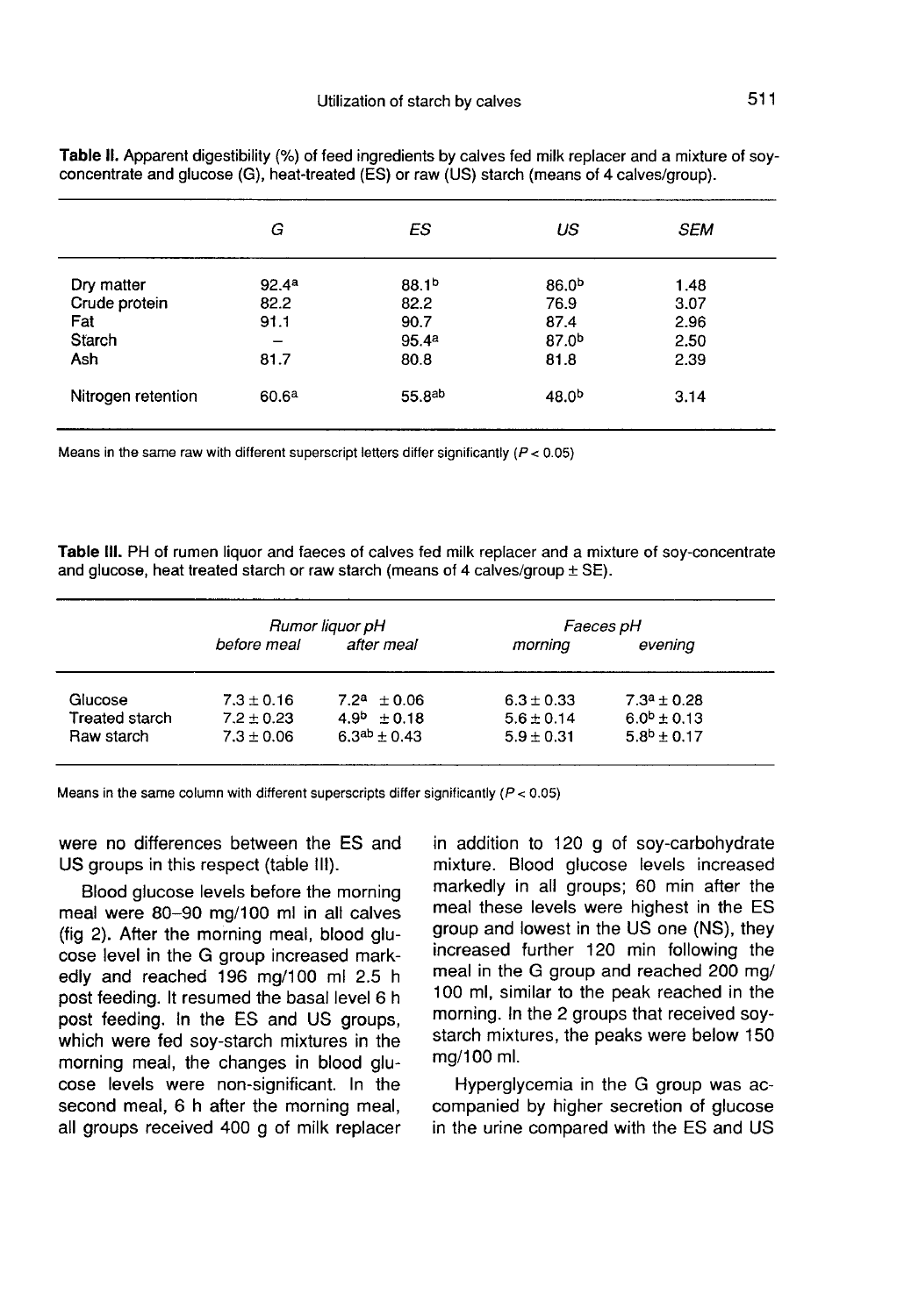|                                                     | G                                         | ES                                                             | US                                                             | <b>SEM</b>                           |  |
|-----------------------------------------------------|-------------------------------------------|----------------------------------------------------------------|----------------------------------------------------------------|--------------------------------------|--|
| Dry matter<br>Crude protein<br>Fat<br>Starch<br>Ash | 92.4 <sup>a</sup><br>82.2<br>91.1<br>81.7 | 88.1 <sup>b</sup><br>82.2<br>90.7<br>95.4 <sup>a</sup><br>80.8 | 86.0 <sup>b</sup><br>76.9<br>87.4<br>87.0 <sup>b</sup><br>81.8 | 1.48<br>3.07<br>2.96<br>2.50<br>2.39 |  |
| Nitrogen retention                                  | 60.6 <sup>a</sup>                         | 55.8 <sup>ab</sup>                                             | 48.0 <sup>b</sup>                                              | 3.14                                 |  |

Table II. Apparent digestibility (%) of feed ingredients by calves fed milk replacer and a mixture of soyconcentrate and glucose (G), heat-treated (ES) or raw (US) starch (means of 4 calves/group).

Means in the same raw with different superscript letters differ significantly ( $P < 0.05$ )

Table III. PH of rumen liquor and faeces of calves fed milk replacer and a mixture of soy-concentrate and glucose, heat treated starch or raw starch (means of 4 calves/group  $\pm$  SE).

|                | Rumor liquor pH |                     | Faeces pH      |                  |
|----------------|-----------------|---------------------|----------------|------------------|
|                | before meal     | after meal          | morning        | evening          |
| Glucose        | $7.3 \pm 0.16$  | $7.2^a \pm 0.06$    | $6.3 \pm 0.33$ | $7.3^a \pm 0.28$ |
| Treated starch | $7.2 \pm 0.23$  | $4.9^{b} + 0.18$    | $5.6 + 0.14$   | $6.0^b \pm 0.13$ |
| Raw starch     | $7.3 \pm 0.06$  | $6.3^{ab} \pm 0.43$ | $5.9 \pm 0.31$ | $5.8^{b}$ + 0.17 |

Means in the same column with different superscripts differ significantly ( $P < 0.05$ )

were no differences between the ES and US groups in this respect (table 111).

Blood glucose levels before the morning meal were 80-90 mg/100 ml in all calves<br>(fig 2). After the morning meal, blood glucose level in the G group increased markedly and reached 196 mg/100 ml 2.5 h post feeding. It resumed the basal level 6 h post feeding. In the ES and US groups, which were fed soy-starch mixtures in the morning meal, the changes in blood glu cose levels were non-significant. In the second meal, 6 h after the morning meal, all groups received 400 g of milk replacer

in addition to 120 g of soy-carbohydrate mixture. Blood glucose levels increased markedly in all groups; 60 min after the meal these levels were highest in the ES group and lowest in the US one (NS), they increased further 120 min following the meal in the G group and reached 200 mg/ 100 ml, similar to the peak reached in the morning. In the 2 groups that received soystarch mixtures, the peaks were below 150 mg/100 ml.

Hyperglycemia in the G group was accompanied by higher secretion of glucose in the urine compared with the ES and US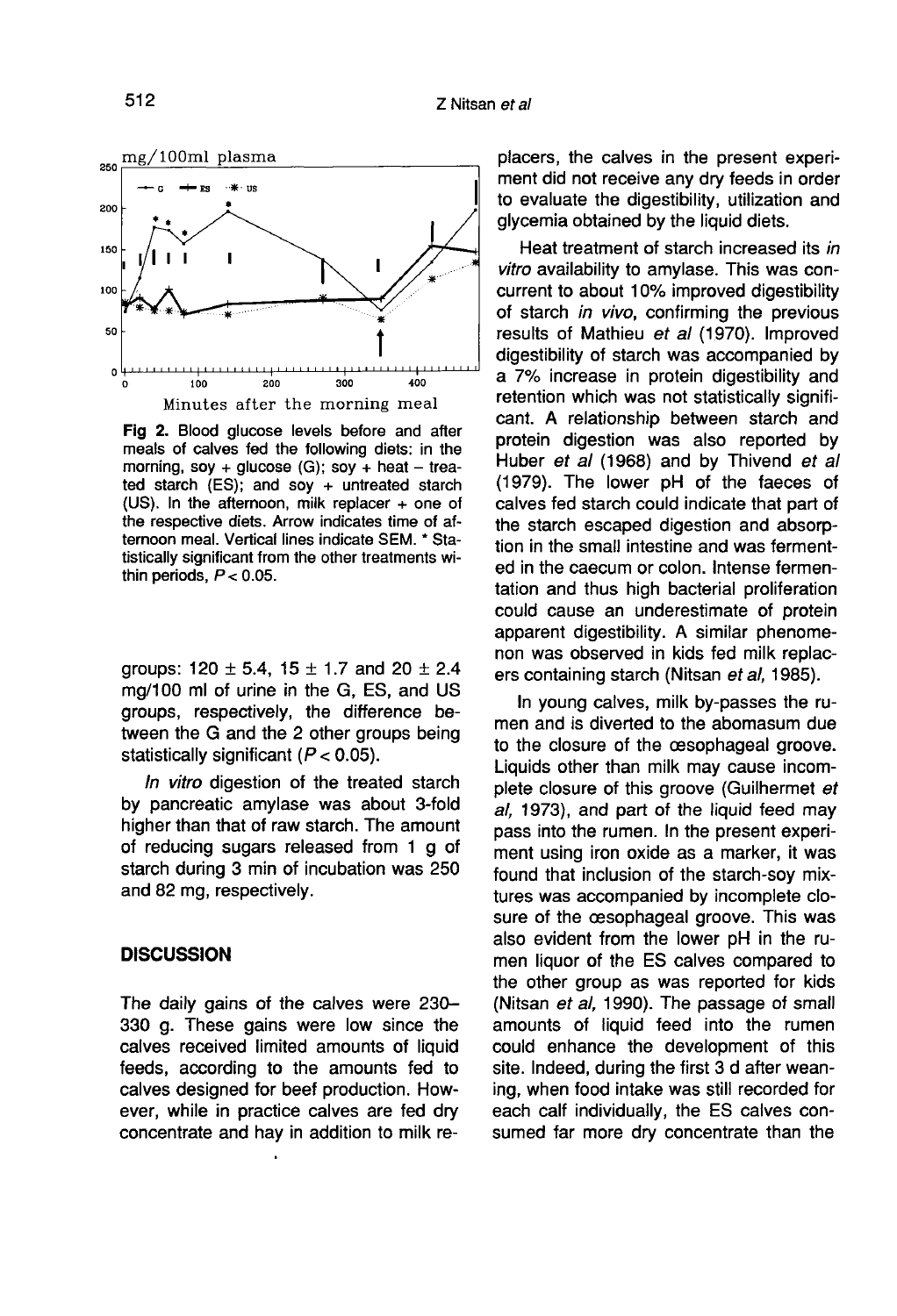

Fig 2. Blood glucose levels before and after meals of calves fed the following diets: in the morning, soy + glucose (G); soy + heat - treated starch (ES); and soy + untreated starch (US). In the afternoon, milk replacer + one of the respective diets. Arrow indicates time of afternoon meal. Vertical lines indicate SEM. \* Statistically significant from the other treatments within periods,  $P < 0.05$ .

groups:  $120 \pm 5.4$ ,  $15 \pm 1.7$  and  $20 \pm 2.4$ mg/100 ml of urine in the G, ES, and US groups, respectively, the difference between the G and the 2 other groups being statistically significant  $(P < 0.05)$ .

In vitro digestion of the treated starch by pancreatic amylase was about 3-fold higher than that of raw starch. The amount of reducing sugars released from 1 g of starch during 3 min of incubation was 250 and 82 mg, respectively.

### **DISCUSSION**

The daily gains of the calves were 230- 330 g. These gains were low since the calves received limited amounts of liquid feeds, according to the amounts fed to calves designed for beef production. However, while in practice calves are fed dry concentrate and hay in addition to milk re-

placers, the calves in the present experiment did not receive any dry feeds in order to evaluate the digestibility, utilization and glycemia obtained by the liquid diets.

Heat treatment of starch increased its in vitro availability to amylase. This was concurrent to about 10% improved digestibility of starch in vivo, confirming the previous results of Mathieu *et al* (1970). Improved<br>digestibility of starch was accompanied by a 7% increase in protein digestibility and retention which was not statistically significant. A relationship between starch and protein digestion was also reported by Huber et al (1968) and by Thivend et al (1979). The lower pH of the faeces of calves fed starch could indicate that part of the starch escaped digestion and absorption in the small intestine and was fermented in the caecum or colon. Intense fermentation and thus high bacterial proliferation could cause an underestimate of protein apparent digestibility. A similar phenome non was observed in kids fed milk replac ers containing starch (Nitsan et al, 1985).

In young calves, milk by-passes the rumen and is diverted to the abomasum due to the closure of the oesophageal groove. Liquids other than milk may cause incomplete closure of this groove (Guilhermet et al, 1973), and part of the liquid feed may pass into the rumen. In the present experiment using iron oxide as a marker, it was found that inclusion of the starch-soy mixtures was accompanied by incomplete closure of the oesophageal groove. This was also evident from the lower pH in the rumen liquor of the ES calves compared to the other group as was reported for kids (Nitsan et al, 1990). The passage of small amounts of liquid feed into the rumen could enhance the development of this site. Indeed, during the first 3 d after weaning, when food intake was still recorded for each calf individually, the ES calves consumed far more dry concentrate than the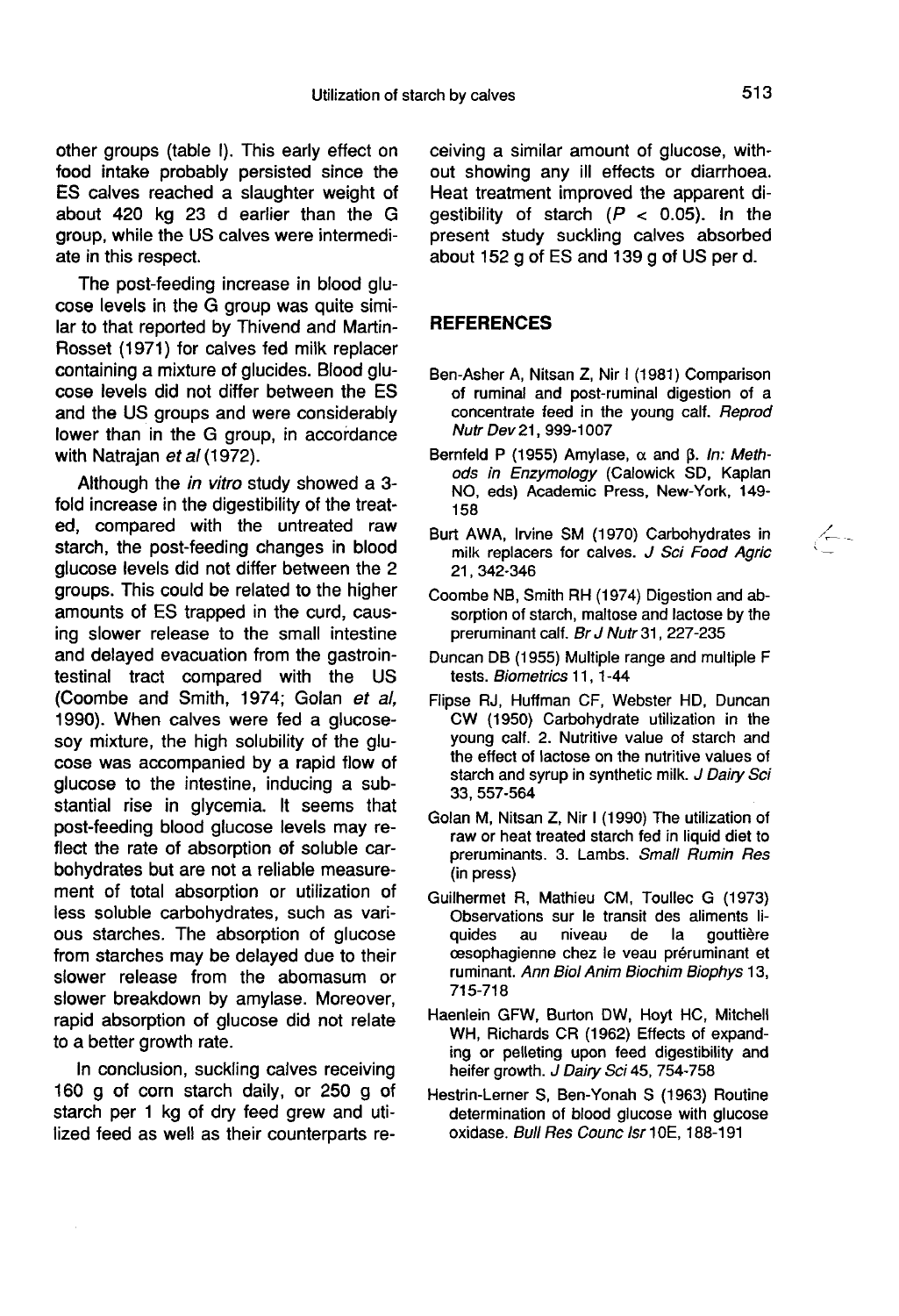other groups (table I). This early effect on food intake probably persisted since the ES calves reached a slaughter weight of about 420 kg 23 d earlier than the G group, while the US calves were intermediate in this respect.

The post-feeding increase in blood glu- cose levels in the G group was quite similar to that reported by Thivend and Martin-Rosset (1971) for calves fed milk replacer containing a mixture of glucides. Blood glu cose levels did not differ between the ES and the US groups and were considerably lower than in the G group, in accordance with Natrajan et al (1972).

Although the *in vitro* study showed a 3fold increase in the digestibility of the treated, compared with the untreated raw starch, the post-feeding changes in blood glucose levels did not differ between the 2 groups. This could be related to the higher amounts of ES trapped in the curd, causing slower release to the small intestine and delayed evacuation from the gastrointestinal tract compared with the US (Coombe and Smith, 1974; Golan et al, 1990). When calves were fed a glucosesoy mixture, the high solubility of the glucose was accompanied by a rapid flow of glucose to the intestine, inducing a substantial rise in glycemia. It seems that post-feeding blood glucose levels may reflect the rate of absorption of soluble carbohydrates but are not a reliable measurement of total absorption or utilization of less soluble carbohydrates, such as various starches. The absorption of glucose from starches may be delayed due to their slower release from the abomasum or slower breakdown by amylase. Moreover, rapid absorption of glucose did not relate to a better growth rate.

In conclusion, suckling calves receiving 160 g of corn starch daily, or 250 g of starch per 1 kg of dry feed grew and utilized feed as well as their counterparts receiving a similar amount of glucose, without showing any ill effects or diarrhoea. Heat treatment improved the apparent digestibility of starch  $(P < 0.05)$ . In the present study suckling calves absorbed about 152 g of ES and 139 g of US per d.

#### **REFERENCES**

- Ben-Asher A, Nitsan Z, Nir 1 (1981) Comparison of ruminal and post-ruminal digestion of a concentrate feed in the young calf. Reprod Nutr Dev 21, 999-1007
- Bernfeld P (1955) Amylase,  $\alpha$  and  $\beta$ . In: Methods in Enzymology (Calowick SD, Kaplan NO, eds) Academic Press, New-York, 149- 158
- Burt AWA, Irvine SM (1970) Carbohydrates in ! milk replacers for calves.  $J$  Sci Food Agric 21,342-346
- Coombe NB, Smith RH (1974) Digestion and absorption of starch, maltose and lactose by the preruminant calf. Br J Nutr 31, 227-235
- Duncan DB (1955) Multiple range and multiple F tests. Biometrics 11, 1-44
- Flipse RJ, Huffman CF, Webster HD, Duncan CW (1950) Carbohydrate utilization in the young calf. 2. Nutritive value of starch and the effect of lactose on the nutritive values of starch and syrup in synthetic milk. J Dairy Sci 33, 557-564
- Golan M, Nitsan Z, Nir I (1990) The utilization of raw or heat treated starch fed in liquid diet to preruminants. 3. Lambs. Small Rumin Res (in press)
- Guilhermet R, Mathieu CM, Toullec G (1973) Observations sur le transit des aliments liquides au niveau de la gouttière cesophagienne chez le veau préruminant et ruminant. Ann Biol Anim Biochim Biophys 13, 715-718
- Haenlein GFW, Burton DW, Hoyt HC, Mitchell WH, Richards CR (1962) Effects of expanding or pelleting upon feed digestibility and heifer growth. J Dairy Sci 45, 754-758
- Hestrin-Lerner S, Ben-Yonah S (1963) Routine determination of blood glucose with glucose oxidase. Bull Res Counc Isr 10E, 188-191